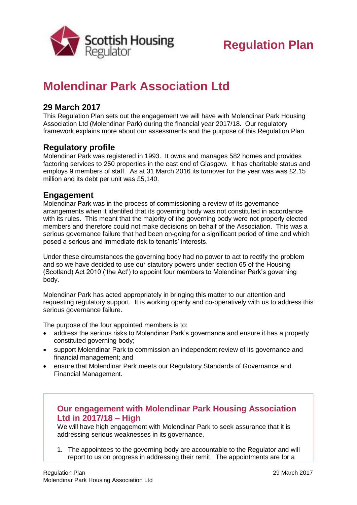

# **Molendinar Park Association Ltd**

### **29 March 2017**

This Regulation Plan sets out the engagement we will have with Molendinar Park Housing Association Ltd (Molendinar Park) during the financial year 2017/18. Our regulatory framework explains more about our assessments and the purpose of this Regulation Plan.

## **Regulatory profile**

Molendinar Park was registered in 1993. It owns and manages 582 homes and provides factoring services to 250 properties in the east end of Glasgow. It has charitable status and employs 9 members of staff. As at 31 March 2016 its turnover for the year was was £2.15 million and its debt per unit was £5,140.

## **Engagement**

Molendinar Park was in the process of commissioning a review of its governance arrangements when it identifed that its governing body was not constituted in accordance with its rules. This meant that the majority of the governing body were not properly elected members and therefore could not make decisions on behalf of the Association. This was a serious governance failure that had been on-going for a significant period of time and which posed a serious and immediate risk to tenants' interests.

Under these circumstances the governing body had no power to act to rectify the problem and so we have decided to use our statutory powers under section 65 of the Housing (Scotland) Act 2010 ('the Act') to appoint four members to Molendinar Park's governing body.

Molendinar Park has acted appropriately in bringing this matter to our attention and requesting regulatory support. It is working openly and co-operatively with us to address this serious governance failure.

The purpose of the four appointed members is to:

- address the serious risks to Molendinar Park's governance and ensure it has a properly constituted governing body;
- support Molendinar Park to commission an independent review of its governance and financial management; and
- ensure that Molendinar Park meets our Regulatory Standards of Governance and Financial Management.

## **Our engagement with Molendinar Park Housing Association Ltd in 2017/18 – High**

We will have high engagement with Molendinar Park to seek assurance that it is addressing serious weaknesses in its governance.

1. The appointees to the governing body are accountable to the Regulator and will report to us on progress in addressing their remit. The appointments are for a